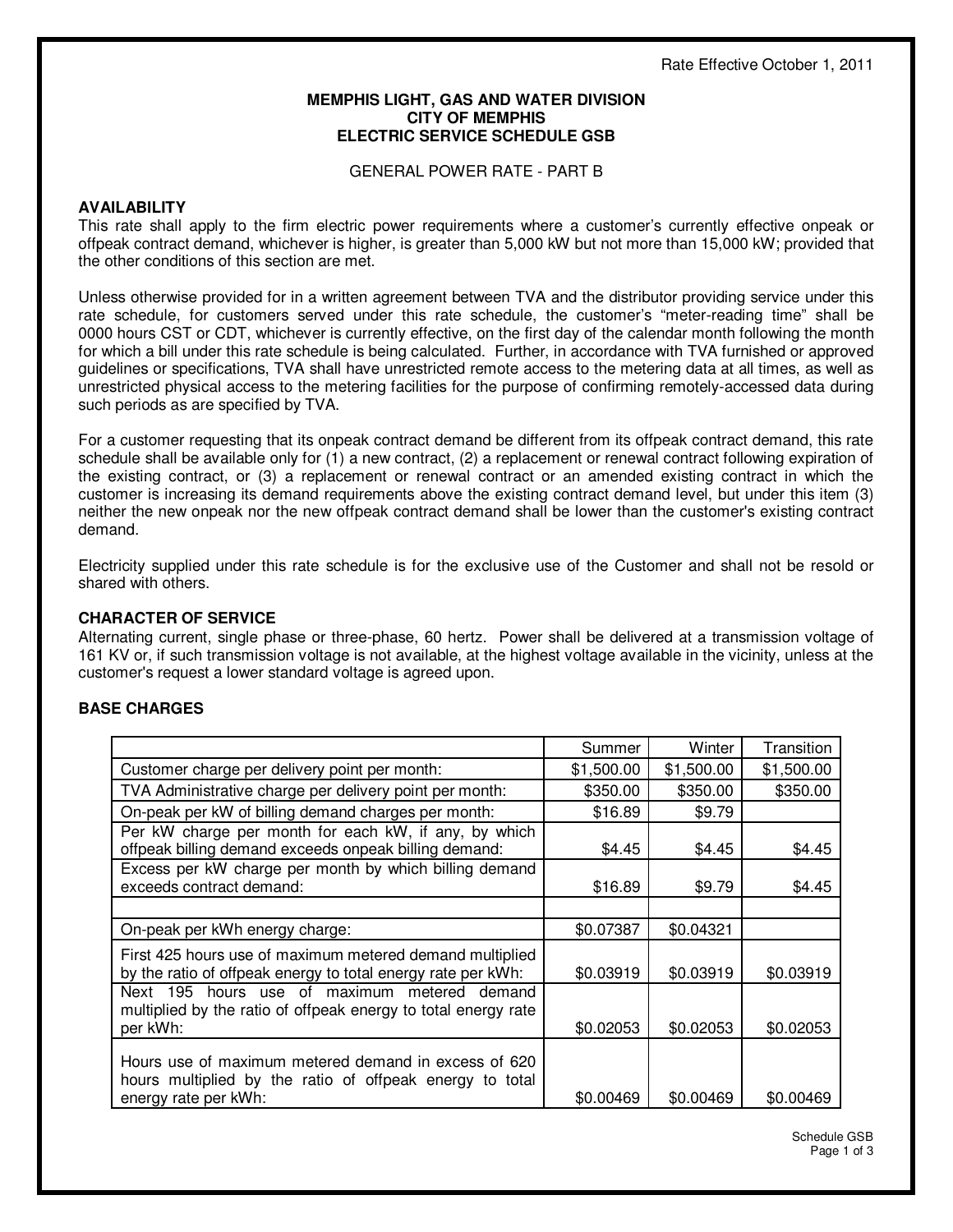#### **MEMPHIS LIGHT, GAS AND WATER DIVISION CITY OF MEMPHIS ELECTRIC SERVICE SCHEDULE GSB**

GENERAL POWER RATE - PART B

## **AVAILABILITY**

This rate shall apply to the firm electric power requirements where a customer's currently effective onpeak or offpeak contract demand, whichever is higher, is greater than 5,000 kW but not more than 15,000 kW; provided that the other conditions of this section are met.

Unless otherwise provided for in a written agreement between TVA and the distributor providing service under this rate schedule, for customers served under this rate schedule, the customer's "meter-reading time" shall be 0000 hours CST or CDT, whichever is currently effective, on the first day of the calendar month following the month for which a bill under this rate schedule is being calculated. Further, in accordance with TVA furnished or approved guidelines or specifications, TVA shall have unrestricted remote access to the metering data at all times, as well as unrestricted physical access to the metering facilities for the purpose of confirming remotely-accessed data during such periods as are specified by TVA.

For a customer requesting that its onpeak contract demand be different from its offpeak contract demand, this rate schedule shall be available only for (1) a new contract, (2) a replacement or renewal contract following expiration of the existing contract, or (3) a replacement or renewal contract or an amended existing contract in which the customer is increasing its demand requirements above the existing contract demand level, but under this item (3) neither the new onpeak nor the new offpeak contract demand shall be lower than the customer's existing contract demand.

Electricity supplied under this rate schedule is for the exclusive use of the Customer and shall not be resold or shared with others.

## **CHARACTER OF SERVICE**

Alternating current, single phase or three-phase, 60 hertz. Power shall be delivered at a transmission voltage of 161 KV or, if such transmission voltage is not available, at the highest voltage available in the vicinity, unless at the customer's request a lower standard voltage is agreed upon.

## **BASE CHARGES**

|                                                                                                                                          | Summer     | Winter     | Transition |
|------------------------------------------------------------------------------------------------------------------------------------------|------------|------------|------------|
| Customer charge per delivery point per month:                                                                                            | \$1,500.00 | \$1,500.00 | \$1,500.00 |
| TVA Administrative charge per delivery point per month:                                                                                  | \$350.00   | \$350.00   | \$350.00   |
| On-peak per kW of billing demand charges per month:                                                                                      | \$16.89    | \$9.79     |            |
| Per kW charge per month for each kW, if any, by which<br>offpeak billing demand exceeds onpeak billing demand:                           | \$4.45     | \$4.45     | \$4.45     |
| Excess per kW charge per month by which billing demand<br>exceeds contract demand:                                                       | \$16.89    | \$9.79     | \$4.45     |
|                                                                                                                                          |            |            |            |
| On-peak per kWh energy charge:                                                                                                           | \$0.07387  | \$0.04321  |            |
| First 425 hours use of maximum metered demand multiplied<br>by the ratio of offpeak energy to total energy rate per kWh:                 | \$0.03919  | \$0.03919  | \$0.03919  |
| Next 195 hours use of maximum metered demand<br>multiplied by the ratio of offpeak energy to total energy rate<br>per kWh:               | \$0.02053  | \$0.02053  | \$0.02053  |
| Hours use of maximum metered demand in excess of 620<br>hours multiplied by the ratio of offpeak energy to total<br>energy rate per kWh: | \$0.00469  | \$0.00469  | \$0.00469  |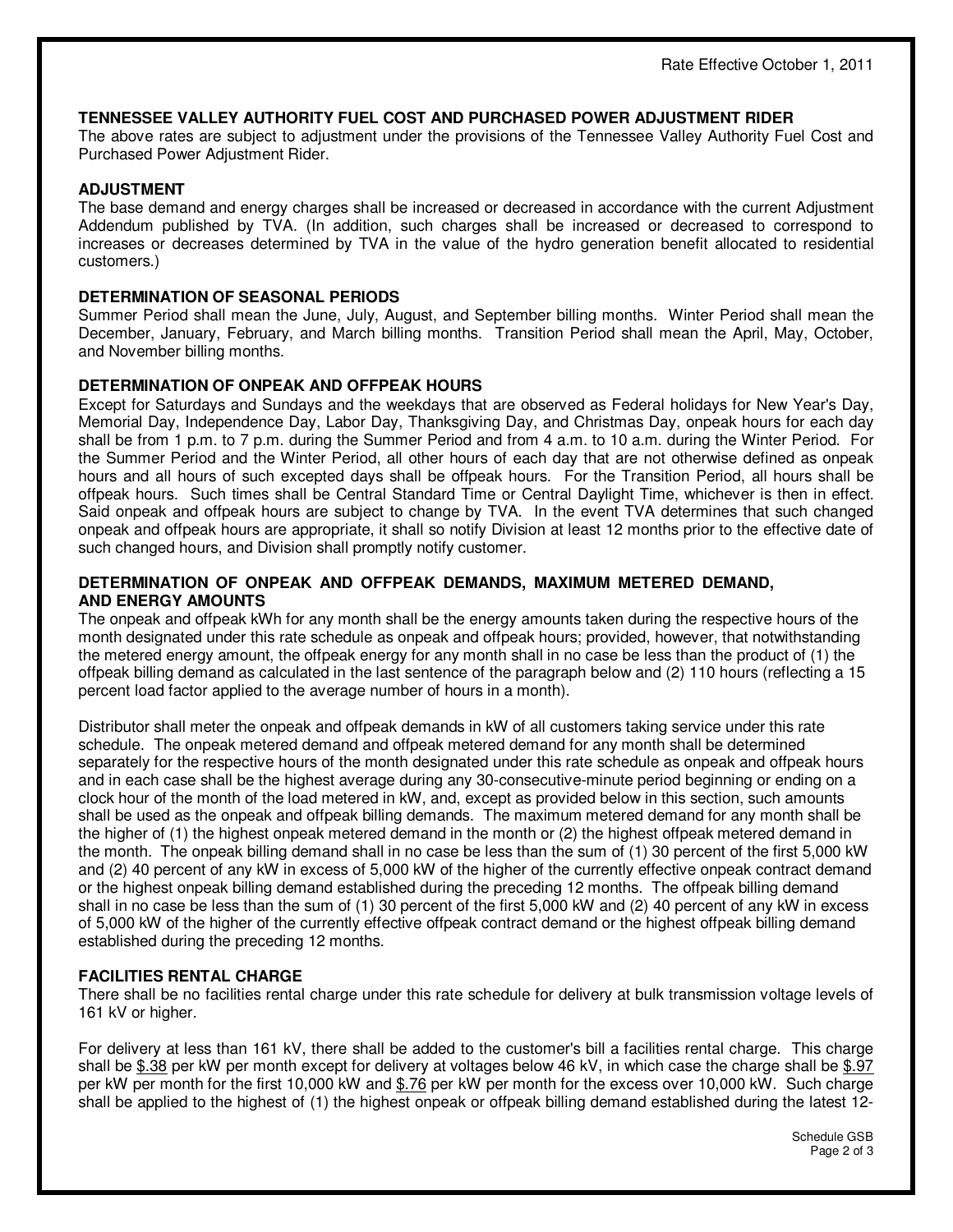## **TENNESSEE VALLEY AUTHORITY FUEL COST AND PURCHASED POWER ADJUSTMENT RIDER**

The above rates are subject to adjustment under the provisions of the Tennessee Valley Authority Fuel Cost and Purchased Power Adjustment Rider.

## **ADJUSTMENT**

The base demand and energy charges shall be increased or decreased in accordance with the current Adjustment Addendum published by TVA. (In addition, such charges shall be increased or decreased to correspond to increases or decreases determined by TVA in the value of the hydro generation benefit allocated to residential customers.)

### **DETERMINATION OF SEASONAL PERIODS**

Summer Period shall mean the June, July, August, and September billing months. Winter Period shall mean the December, January, February, and March billing months. Transition Period shall mean the April, May, October, and November billing months.

### **DETERMINATION OF ONPEAK AND OFFPEAK HOURS**

Except for Saturdays and Sundays and the weekdays that are observed as Federal holidays for New Year's Day, Memorial Day, Independence Day, Labor Day, Thanksgiving Day, and Christmas Day, onpeak hours for each day shall be from 1 p.m. to 7 p.m. during the Summer Period and from 4 a.m. to 10 a.m. during the Winter Period. For the Summer Period and the Winter Period, all other hours of each day that are not otherwise defined as onpeak hours and all hours of such excepted days shall be offpeak hours. For the Transition Period, all hours shall be offpeak hours. Such times shall be Central Standard Time or Central Daylight Time, whichever is then in effect. Said onpeak and offpeak hours are subject to change by TVA. In the event TVA determines that such changed onpeak and offpeak hours are appropriate, it shall so notify Division at least 12 months prior to the effective date of such changed hours, and Division shall promptly notify customer.

### **DETERMINATION OF ONPEAK AND OFFPEAK DEMANDS, MAXIMUM METERED DEMAND, AND ENERGY AMOUNTS**

The onpeak and offpeak kWh for any month shall be the energy amounts taken during the respective hours of the month designated under this rate schedule as onpeak and offpeak hours; provided, however, that notwithstanding the metered energy amount, the offpeak energy for any month shall in no case be less than the product of (1) the offpeak billing demand as calculated in the last sentence of the paragraph below and (2) 110 hours (reflecting a 15 percent load factor applied to the average number of hours in a month).

Distributor shall meter the onpeak and offpeak demands in kW of all customers taking service under this rate schedule. The onpeak metered demand and offpeak metered demand for any month shall be determined separately for the respective hours of the month designated under this rate schedule as onpeak and offpeak hours and in each case shall be the highest average during any 30-consecutive-minute period beginning or ending on a clock hour of the month of the load metered in kW, and, except as provided below in this section, such amounts shall be used as the onpeak and offpeak billing demands. The maximum metered demand for any month shall be the higher of (1) the highest onpeak metered demand in the month or (2) the highest offpeak metered demand in the month. The onpeak billing demand shall in no case be less than the sum of (1) 30 percent of the first 5,000 kW and (2) 40 percent of any kW in excess of 5,000 kW of the higher of the currently effective onpeak contract demand or the highest onpeak billing demand established during the preceding 12 months. The offpeak billing demand shall in no case be less than the sum of (1) 30 percent of the first 5,000 kW and (2) 40 percent of any kW in excess of 5,000 kW of the higher of the currently effective offpeak contract demand or the highest offpeak billing demand established during the preceding 12 months.

## **FACILITIES RENTAL CHARGE**

There shall be no facilities rental charge under this rate schedule for delivery at bulk transmission voltage levels of 161 kV or higher.

For delivery at less than 161 kV, there shall be added to the customer's bill a facilities rental charge. This charge shall be \$.38 per kW per month except for delivery at voltages below 46 kV, in which case the charge shall be \$.97 per kW per month for the first 10,000 kW and \$.76 per kW per month for the excess over 10,000 kW. Such charge shall be applied to the highest of (1) the highest onpeak or offpeak billing demand established during the latest 12